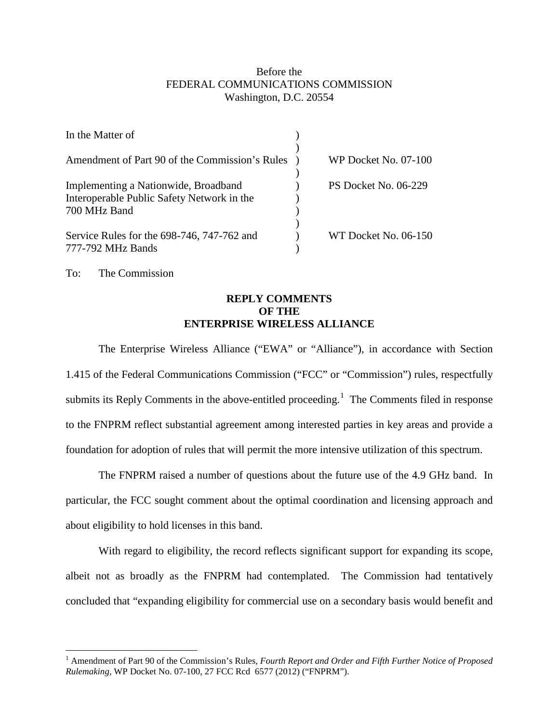## Before the FEDERAL COMMUNICATIONS COMMISSION Washington, D.C. 20554

| In the Matter of                                                                                   |                      |
|----------------------------------------------------------------------------------------------------|----------------------|
| Amendment of Part 90 of the Commission's Rules                                                     | WP Docket No. 07-100 |
| Implementing a Nationwide, Broadband<br>Interoperable Public Safety Network in the<br>700 MHz Band | PS Docket No. 06-229 |
| Service Rules for the 698-746, 747-762 and<br>777-792 MHz Bands                                    | WT Docket No. 06-150 |

To: The Commission

## **REPLY COMMENTS OF THE ENTERPRISE WIRELESS ALLIANCE**

The Enterprise Wireless Alliance ("EWA" or "Alliance"), in accordance with Section 1.415 of the Federal Communications Commission ("FCC" or "Commission") rules, respectfully submits its Reply Comments in the above-entitled proceeding.<sup>[1](#page-0-0)</sup> The Comments filed in response to the FNPRM reflect substantial agreement among interested parties in key areas and provide a foundation for adoption of rules that will permit the more intensive utilization of this spectrum.

The FNPRM raised a number of questions about the future use of the 4.9 GHz band. In particular, the FCC sought comment about the optimal coordination and licensing approach and about eligibility to hold licenses in this band.

With regard to eligibility, the record reflects significant support for expanding its scope, albeit not as broadly as the FNPRM had contemplated. The Commission had tentatively concluded that "expanding eligibility for commercial use on a secondary basis would benefit and

<span id="page-0-0"></span><sup>&</sup>lt;sup>1</sup> Amendment of Part 90 of the Commission's Rules, *Fourth Report and Order and Fifth Further Notice of Proposed Rulemaking*, WP Docket No. 07-100, 27 FCC Rcd 6577 (2012) ("FNPRM").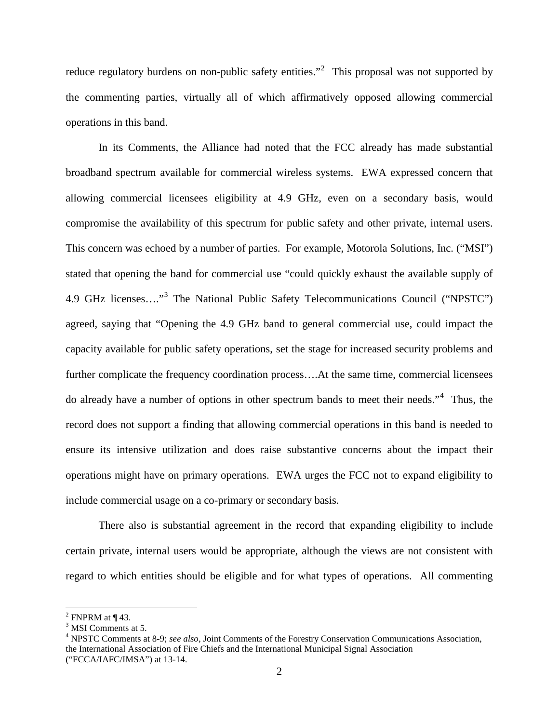reduce regulatory burdens on non-public safety entities."<sup>[2](#page-1-0)</sup> This proposal was not supported by the commenting parties, virtually all of which affirmatively opposed allowing commercial operations in this band.

In its Comments, the Alliance had noted that the FCC already has made substantial broadband spectrum available for commercial wireless systems. EWA expressed concern that allowing commercial licensees eligibility at 4.9 GHz, even on a secondary basis, would compromise the availability of this spectrum for public safety and other private, internal users. This concern was echoed by a number of parties. For example, Motorola Solutions, Inc. ("MSI") stated that opening the band for commercial use "could quickly exhaust the available supply of 4.9 GHz licenses…." [3](#page-1-1) The National Public Safety Telecommunications Council ("NPSTC") agreed, saying that "Opening the 4.9 GHz band to general commercial use, could impact the capacity available for public safety operations, set the stage for increased security problems and further complicate the frequency coordination process....At the same time, commercial licensees do already have a number of options in other spectrum bands to meet their needs."<sup>[4](#page-1-2)</sup> Thus, the record does not support a finding that allowing commercial operations in this band is needed to ensure its intensive utilization and does raise substantive concerns about the impact their operations might have on primary operations. EWA urges the FCC not to expand eligibility to include commercial usage on a co-primary or secondary basis.

There also is substantial agreement in the record that expanding eligibility to include certain private, internal users would be appropriate, although the views are not consistent with regard to which entities should be eligible and for what types of operations. All commenting

<span id="page-1-0"></span> $<sup>2</sup>$  FNPRM at ¶ 43.</sup>

<span id="page-1-1"></span><sup>&</sup>lt;sup>3</sup> MSI Comments at 5.

<span id="page-1-2"></span><sup>4</sup> NPSTC Comments at 8-9; *see also*, Joint Comments of the Forestry Conservation Communications Association, the International Association of Fire Chiefs and the International Municipal Signal Association ("FCCA/IAFC/IMSA") at 13-14.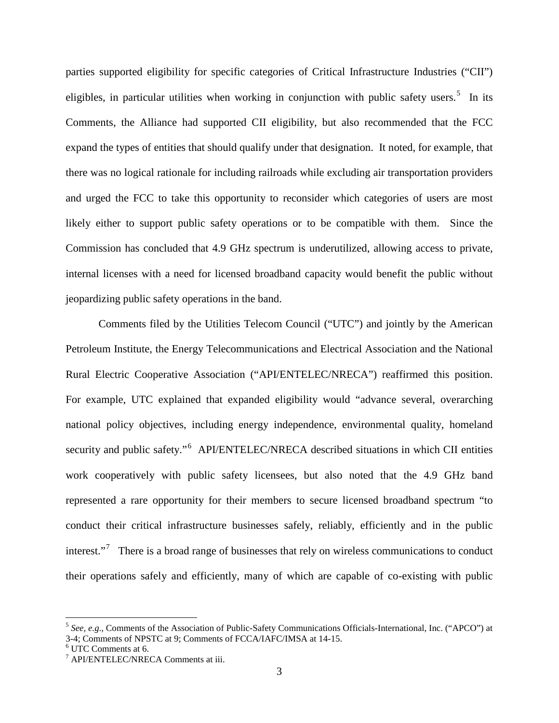parties supported eligibility for specific categories of Critical Infrastructure Industries ("CII") eligibles, in particular utilities when working in conjunction with public safety users.<sup>[5](#page-2-0)</sup> In its Comments, the Alliance had supported CII eligibility, but also recommended that the FCC expand the types of entities that should qualify under that designation. It noted, for example, that there was no logical rationale for including railroads while excluding air transportation providers and urged the FCC to take this opportunity to reconsider which categories of users are most likely either to support public safety operations or to be compatible with them. Since the Commission has concluded that 4.9 GHz spectrum is underutilized, allowing access to private, internal licenses with a need for licensed broadband capacity would benefit the public without jeopardizing public safety operations in the band.

Comments filed by the Utilities Telecom Council ("UTC") and jointly by the American Petroleum Institute, the Energy Telecommunications and Electrical Association and the National Rural Electric Cooperative Association ("API/ENTELEC/NRECA") reaffirmed this position. For example, UTC explained that expanded eligibility would "advance several, overarching national policy objectives, including energy independence, environmental quality, homeland security and public safety."<sup>[6](#page-2-1)</sup> API/ENTELEC/NRECA described situations in which CII entities work cooperatively with public safety licensees, but also noted that the 4.9 GHz band represented a rare opportunity for their members to secure licensed broadband spectrum "to conduct their critical infrastructure businesses safely, reliably, efficiently and in the public interest."<sup>[7](#page-2-2)</sup> There is a broad range of businesses that rely on wireless communications to conduct their operations safely and efficiently, many of which are capable of co-existing with public

<span id="page-2-0"></span> <sup>5</sup> *See, e.g*., Comments of the Association of Public-Safety Communications Officials-International, Inc. ("APCO") at 3-4; Comments of NPSTC at 9; Comments of FCCA/IAFC/IMSA at 14-15.

<span id="page-2-1"></span><sup>6</sup> UTC Comments at 6.

<span id="page-2-2"></span><sup>7</sup> API/ENTELEC/NRECA Comments at iii.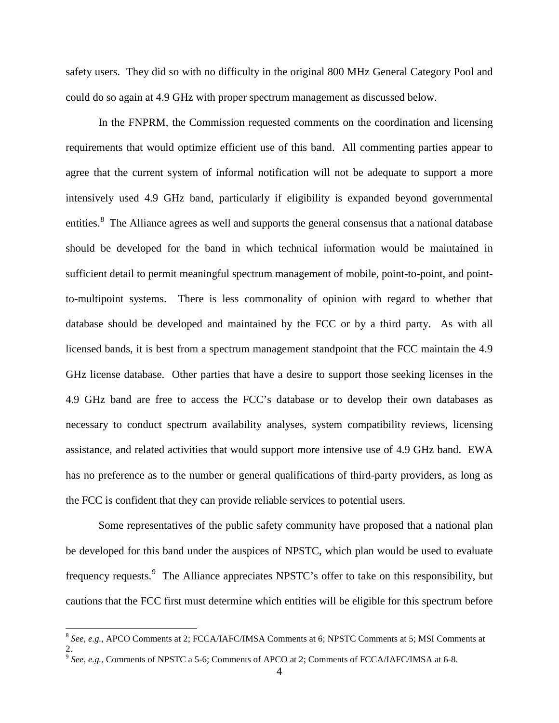safety users. They did so with no difficulty in the original 800 MHz General Category Pool and could do so again at 4.9 GHz with proper spectrum management as discussed below.

In the FNPRM, the Commission requested comments on the coordination and licensing requirements that would optimize efficient use of this band. All commenting parties appear to agree that the current system of informal notification will not be adequate to support a more intensively used 4.9 GHz band, particularly if eligibility is expanded beyond governmental entities.<sup>[8](#page-3-0)</sup> The Alliance agrees as well and supports the general consensus that a national database should be developed for the band in which technical information would be maintained in sufficient detail to permit meaningful spectrum management of mobile, point-to-point, and pointto-multipoint systems. There is less commonality of opinion with regard to whether that database should be developed and maintained by the FCC or by a third party. As with all licensed bands, it is best from a spectrum management standpoint that the FCC maintain the 4.9 GHz license database. Other parties that have a desire to support those seeking licenses in the 4.9 GHz band are free to access the FCC's database or to develop their own databases as necessary to conduct spectrum availability analyses, system compatibility reviews, licensing assistance, and related activities that would support more intensive use of 4.9 GHz band. EWA has no preference as to the number or general qualifications of third-party providers, as long as the FCC is confident that they can provide reliable services to potential users.

Some representatives of the public safety community have proposed that a national plan be developed for this band under the auspices of NPSTC, which plan would be used to evaluate frequency requests.<sup>[9](#page-3-1)</sup> The Alliance appreciates NPSTC's offer to take on this responsibility, but cautions that the FCC first must determine which entities will be eligible for this spectrum before

<span id="page-3-0"></span> <sup>8</sup> *See, e.g.*, APCO Comments at 2; FCCA/IAFC/IMSA Comments at 6; NPSTC Comments at 5; MSI Comments at 2.

<span id="page-3-1"></span><sup>9</sup> *See, e.g.,* Comments of NPSTC a 5-6; Comments of APCO at 2; Comments of FCCA/IAFC/IMSA at 6-8.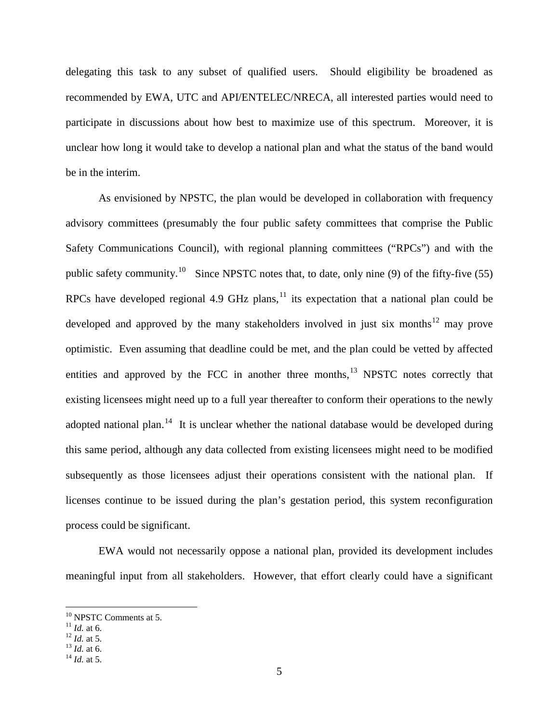delegating this task to any subset of qualified users. Should eligibility be broadened as recommended by EWA, UTC and API/ENTELEC/NRECA, all interested parties would need to participate in discussions about how best to maximize use of this spectrum. Moreover, it is unclear how long it would take to develop a national plan and what the status of the band would be in the interim.

As envisioned by NPSTC, the plan would be developed in collaboration with frequency advisory committees (presumably the four public safety committees that comprise the Public Safety Communications Council), with regional planning committees ("RPCs") and with the public safety community.<sup>10</sup> Since NPSTC notes that, to date, only nine (9) of the fifty-five (55) RPCs have developed regional 4.9 GHz plans,  $^{11}$  $^{11}$  $^{11}$  its expectation that a national plan could be developed and approved by the many stakeholders involved in just six months<sup>[12](#page-4-2)</sup> may prove optimistic. Even assuming that deadline could be met, and the plan could be vetted by affected entities and approved by the FCC in another three months, $13$  NPSTC notes correctly that existing licensees might need up to a full year thereafter to conform their operations to the newly adopted national plan.<sup>[14](#page-4-4)</sup> It is unclear whether the national database would be developed during this same period, although any data collected from existing licensees might need to be modified subsequently as those licensees adjust their operations consistent with the national plan. If licenses continue to be issued during the plan's gestation period, this system reconfiguration process could be significant.

EWA would not necessarily oppose a national plan, provided its development includes meaningful input from all stakeholders. However, that effort clearly could have a significant

<span id="page-4-0"></span><sup>&</sup>lt;sup>10</sup> NPSTC Comments at 5.<br><sup>11</sup> *Id.* at 6.<br><sup>12</sup> *Id.* at 5.<br><sup>13</sup> *Id.* at 6.<br><sup>14</sup> *Id.* at 5.

<span id="page-4-1"></span>

<span id="page-4-3"></span><span id="page-4-2"></span>

<span id="page-4-4"></span>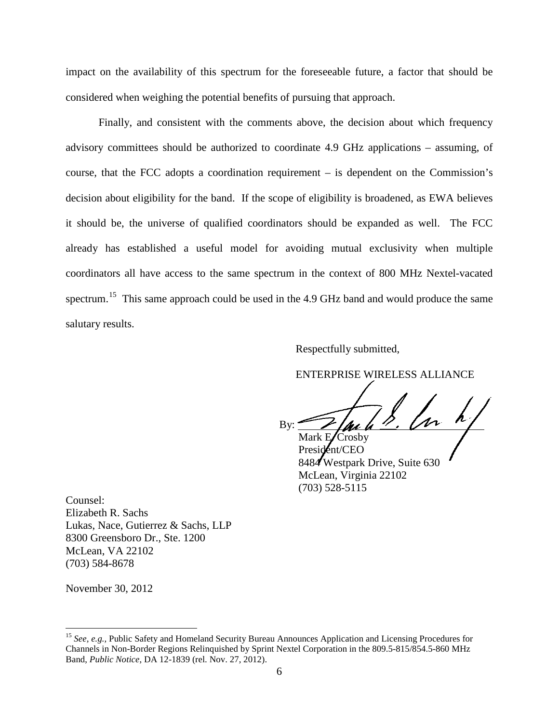impact on the availability of this spectrum for the foreseeable future, a factor that should be considered when weighing the potential benefits of pursuing that approach.

Finally, and consistent with the comments above, the decision about which frequency advisory committees should be authorized to coordinate 4.9 GHz applications – assuming, of course, that the FCC adopts a coordination requirement – is dependent on the Commission's decision about eligibility for the band. If the scope of eligibility is broadened, as EWA believes it should be, the universe of qualified coordinators should be expanded as well. The FCC already has established a useful model for avoiding mutual exclusivity when multiple coordinators all have access to the same spectrum in the context of 800 MHz Nextel-vacated spectrum.<sup>[15](#page-5-0)</sup> This same approach could be used in the 4.9 GHz band and would produce the same salutary results.

Respectfully submitted,

ENTERPRISE WIRELESS ALLIANCE

By:  $\frac{1}{\sqrt{u}}$ 

Mark  $E/C$ rosby President/CEO 8484 Westpark Drive, Suite 630 McLean, Virginia 22102 (703) 528-5115

Counsel: Elizabeth R. Sachs Lukas, Nace, Gutierrez & Sachs, LLP 8300 Greensboro Dr., Ste. 1200 McLean, VA 22102 (703) 584-8678

November 30, 2012

<span id="page-5-0"></span> <sup>15</sup> *See, e.g.,* Public Safety and Homeland Security Bureau Announces Application and Licensing Procedures for Channels in Non-Border Regions Relinquished by Sprint Nextel Corporation in the 809.5-815/854.5-860 MHz Band, *Public Notice*, DA 12-1839 (rel. Nov. 27, 2012).